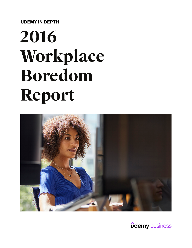**UDEMY IN DEPTH**

# **2016 Workplace Boredom Report**



**<u>ûdemy business</u>**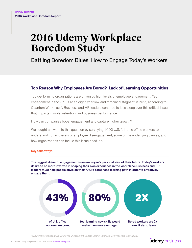# **2016 Udemy Workplace Boredom Study**

Battling Boredom Blues: How to Engage Today's Workers

#### **Top Reason Why Employees Are Bored? Lack of Learning Opportunities**

Top-performing organizations are driven by high levels of employee engagement. Yet, engagement in the U.S. is at an eight-year low and remained stagnant in 2015, according to Quantum Workplace<sup>1</sup>. Business and HR leaders continue to lose sleep over this critical issue that impacts morale, retention, and business performance.

How can companies boost engagement and capture higher growth?

We sought answers to this question by surveying 1,000 U.S. full-time office workers to understand current levels of employee disengagement, some of the underlying causes, and how organizations can tackle this issue head-on.

#### Key takeaways

The biggest driver of engagement is an employee's personal view of their future. Today's workers desire to be more involved in shaping their own experience in the workplace. Business and HR leaders must help people envision their future career and learning path in order to effectively engage them.



*<sup>1</sup> Quantum Workplace, 2016 Employee Engagement Trends: Among America's Best Places to Work, 2016.*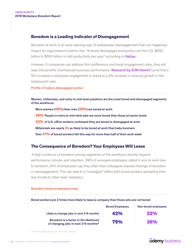#### **Boredom is a Leading Indicator of Disengagement**

Boredom at work is an early warning sign of widespread disengagement that can negatively impact an organization's bottom line. "Actively disengaged employees cost the U.S. \$450 billion to \$550 billion in lost productivity per year," according to **[Gallup](http://www.gallup.com/businessjournal/162953/tackle-employees-stagnating-engagement.aspx)**.

However, if companies can address this indifference and boost engagement rates, they will reap the benefits of enhanced business performance. [Research by AON Hewitt](http://www.aon.com/attachments/human-capital-consulting/2015-Trends-in-Global-Employee-Engagement-Report.pdf) found that a 5% increase in employee engagement is linked to a 3% increase in revenue growth in the subsequent year.

#### Profile of today's disengaged worker

Women, millennials, and entry to mid-level positions are the most bored and disengaged segments of the workforce.

More women (**48%**) than men (**39%**) are bored at work.

**46%** People in entry to mid-level jobs are more bored than those at senior levels

**43%** of U.S. office workers confessed they are bored or disengaged at work

Millennials are nearly **2x** as likely to be bored at work than baby boomers

Over **51%** of bored workers felt this way for more than half of their work week

#### **The Consequence of Boredom? Your Employees Will Leave**

 A high incidence of boredom among segments of the workforce directly impacts performance, morale, and retention. 39% of surveyed employees called in sick to work due to boredom. 51% of employees say they often hear colleagues express feelings of boredom or disengagement. This can lead to a "contagion" effect with bored workers spreading their low morale to other team members.

#### Boredom drives employees away

| Bored workers are 2 times more likely to leave a company than those who are not bored |                        |                     |  |
|---------------------------------------------------------------------------------------|------------------------|---------------------|--|
|                                                                                       | <b>Bored Employees</b> | Non-bored employees |  |
| Likely to change jobs in next 3-6 months                                              | 42%                    | 22%                 |  |
| Boredom is a factor in the likelihood<br>of changing jobs in next 3-6 months*         | 79%                    | 36%                 |  |

*\*For those likely to leave in next 3-6 months*

# **<u>udemy business</u>**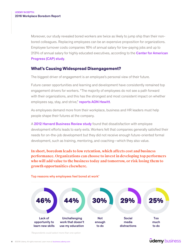Moreover, our study revealed bored workers are twice as likely to jump ship than their nonbored colleagues. Replacing employees can be an expensive proposition for organizations. Employee turnover costs companies 16% of annual salary for low-paying jobs and up to 213% of annual salary for highly educated executives, according to the **Center for American** [Progress \(CAP\) study](https://www.americanprogress.org/wp-content/uploads/2012/11/CostofTurnover.pdf).

# **What's Causing Widespread Disengagement?**

The biggest driver of engagement is an employee's personal view of their future.

Future career opportunities and learning and development have consistently remained top engagement drivers for workers. "The majority of employees do not see a path forward with their organizations, and this has the strongest and most consistent impact on whether employees say, stay, and strive," [reports AON Hewitt](http://www.aon.com/attachments/human-capital-consulting/2015-Trends-in-Global-Employee-Engagement-Report.pdf).

As employees demand more from their workplace, business and HR leaders must help people shape their futures at the company.

A [2012 Harvard Business Review study](https://hbr.org/2012/07/why-top-young-managers-are-in-a-nonstop-job-hunt) found that dissatisfaction with employee development efforts leads to early exits. Workers felt that companies generally satisfied their needs for on-the-job development but they did not receive enough future-oriented formal development, such as training, mentoring, and coaching—which they also value.

**In short, boredom leads to low retention, which affects cost and business performance. Organizations can choose to invest in developing top performers who will add value to the business today and tomorrow, or risk losing them to growth opportunities elsewhere.**



#### Top reasons why employees feel bored at work\*

*\* Respondents could select more than one option*

# **<u>udemy business</u>**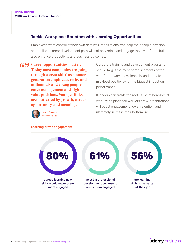#### **Tackle Workplace Boredom with Learning Opportunities**

Employees want control of their own destiny. Organizations who help their people envision and realize a career development path will not only retain and engage their workforce, but also enhance productivity and business outcomes.

*CA* 99 Career opportunities matter. **Today most companies are going through a 'crew shift' as boomer generation employees retire and millennials and young people enter management and high value positions. Younger folks are motivated by growth, career opportunity, and meaning.**

Corporate training and development programs should target the most bored segments of the workforce–women, millennials, and entry to mid-level positions–for the biggest impact on performance.

If leaders can tackle the root cause of boredom at work by helping their workers grow, organizations will boost engagement, lower retention, and ultimately increase their bottom line.



Josh Bersin [Bersin by Deloitte](https://www.linkedin.com/pulse/20130816200159-131079-employee-retention-now-a-big-issue-why-the-tide-has-turned)

Learning drives engagement